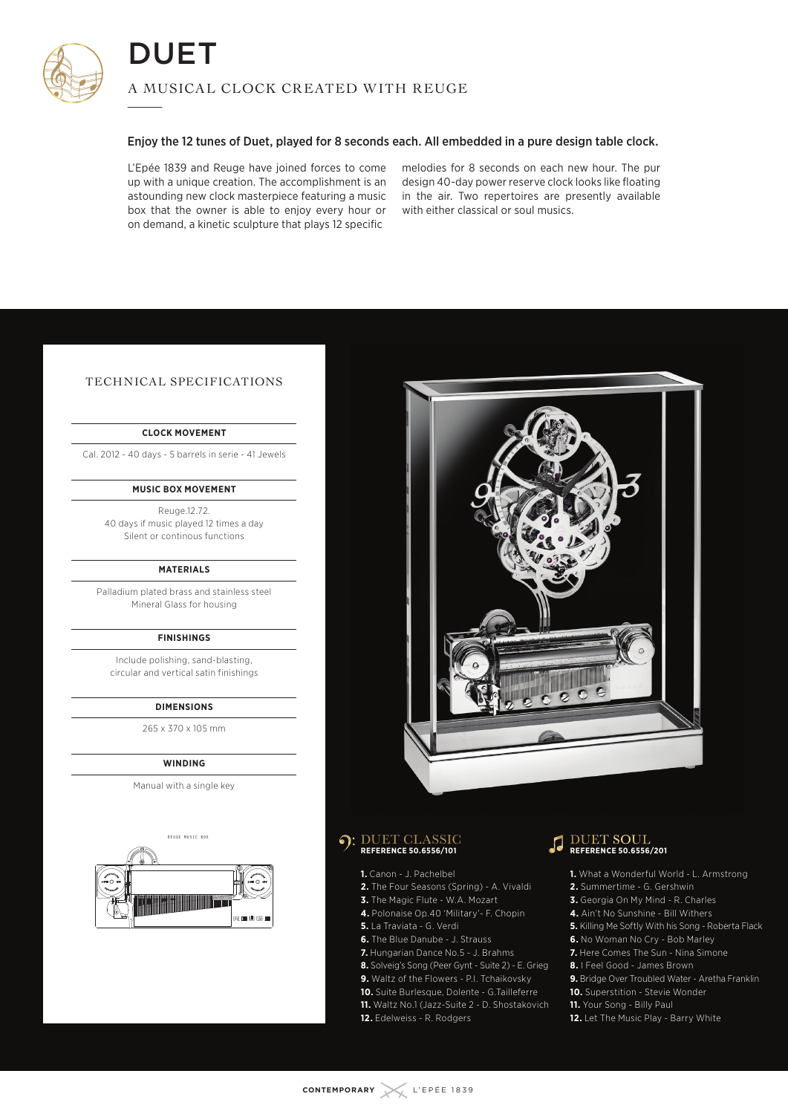

#### Enjoy the 12 tunes of Duet, played for 8 seconds each. All embedded in a pure design table clock.

L'Epée 1839 and Reuge have joined forces to come up with a unique creation. The accomplishment is an astounding new clock masterpiece featuring a music box that the owner is able to enjoy every hour or on demand, a kinetic sculpture that plays 12 specific

melodies for 8 seconds on each new hour. The pur design 40-day power reserve clock looks like floating in the air. Two repertoires are presently available with either classical or soul musics.

#### TECHNICAL SPECIFICATIONS

#### **CLOCK MOVEMENT**

Cal. 2012 - 40 days - 5 barrels in serie - 41 Jewels

#### **MUSIC BOX MOVEMENT**

Reuge.12.72. 40 days if music played 12 times a day Silent or continous functions

#### **MATERIALS**

Palladium plated brass and stainless steel Mineral Glass for housing

#### **FINISHINGS**

Include polishing, sand-blasting, circular and vertical satin finishings

#### **DIMENSIONS**

265 x 370 x 105 mm

#### **WINDING**

Manual with a single key





## DUET CLASSIC **REFERENCE 50.6556/101**

### **1.** Canon - J. Pachelbel

- **2.** The Four Seasons (Spring) A. Vivaldi
- **3.** The Magic Flute W.A. Mozart
- **4.** Polonaise Op.40 'Military'- F. Chopin
- **5.** La Traviata G. Verdi
- **6.** The Blue Danube J. Strauss
- **7.** Hungarian Dance No.5 J. Brahms
- **8.** Solveig's Song (Peer Gynt Suite 2) E. Grieg
- **9.** Waltz of the Flowers P.I. Tchaikovsky
- **10.** Suite Burlesque, Dolente G.Tailleferre
- **11.** Waltz No.1 (Jazz-Suite 2 D. Shostakovich
- **12.** Edelweiss R. Rodgers



- **1.** What a Wonderful World L. Armstrong
- **2.** Summertime G. Gershwin
- **3.** Georgia On My Mind R. Charles
- **4.** Ain't No Sunshine Bill Withers
- **5.** Killing Me Softly With his Song Roberta Flack
- **6.** No Woman No Cry Bob Marley
- **7.** Here Comes The Sun Nina Simone
- **8.** I Feel Good James Brown
- **9.** Bridge Over Troubled Water Aretha Franklin
- **10.** Superstition Stevie Wonder
- **11.** Your Song Billy Paul
- **12.** Let The Music Play Barry White